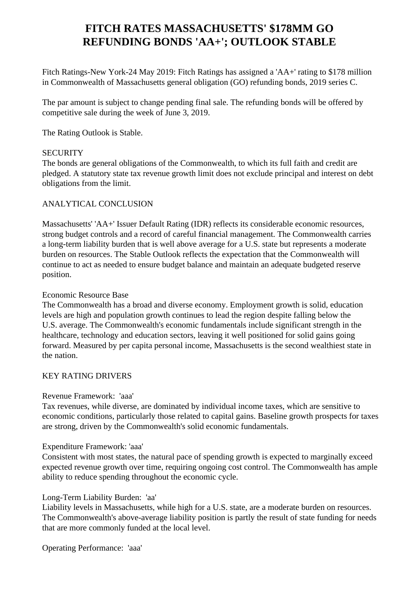# **FITCH RATES MASSACHUSETTS' \$178MM GO REFUNDING BONDS 'AA+'; OUTLOOK STABLE**

 Fitch Ratings-New York-24 May 2019: Fitch Ratings has assigned a 'AA+' rating to \$178 million in Commonwealth of Massachusetts general obligation (GO) refunding bonds, 2019 series C.

 The par amount is subject to change pending final sale. The refunding bonds will be offered by competitive sale during the week of June 3, 2019.

The Rating Outlook is Stable.

#### **SECURITY**

 The bonds are general obligations of the Commonwealth, to which its full faith and credit are pledged. A statutory state tax revenue growth limit does not exclude principal and interest on debt obligations from the limit.

## ANALYTICAL CONCLUSION

 Massachusetts' 'AA+' Issuer Default Rating (IDR) reflects its considerable economic resources, strong budget controls and a record of careful financial management. The Commonwealth carries a long-term liability burden that is well above average for a U.S. state but represents a moderate burden on resources. The Stable Outlook reflects the expectation that the Commonwealth will continue to act as needed to ensure budget balance and maintain an adequate budgeted reserve position.

#### Economic Resource Base

 The Commonwealth has a broad and diverse economy. Employment growth is solid, education levels are high and population growth continues to lead the region despite falling below the U.S. average. The Commonwealth's economic fundamentals include significant strength in the healthcare, technology and education sectors, leaving it well positioned for solid gains going forward. Measured by per capita personal income, Massachusetts is the second wealthiest state in the nation.

## KEY RATING DRIVERS

#### Revenue Framework: 'aaa'

 Tax revenues, while diverse, are dominated by individual income taxes, which are sensitive to economic conditions, particularly those related to capital gains. Baseline growth prospects for taxes are strong, driven by the Commonwealth's solid economic fundamentals.

#### Expenditure Framework: 'aaa'

 Consistent with most states, the natural pace of spending growth is expected to marginally exceed expected revenue growth over time, requiring ongoing cost control. The Commonwealth has ample ability to reduce spending throughout the economic cycle.

#### Long-Term Liability Burden: 'aa'

 Liability levels in Massachusetts, while high for a U.S. state, are a moderate burden on resources. The Commonwealth's above-average liability position is partly the result of state funding for needs that are more commonly funded at the local level.

Operating Performance: 'aaa'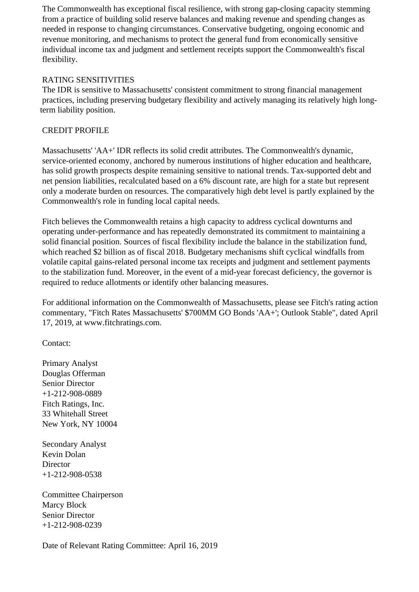The Commonwealth has exceptional fiscal resilience, with strong gap-closing capacity stemming from a practice of building solid reserve balances and making revenue and spending changes as needed in response to changing circumstances. Conservative budgeting, ongoing economic and revenue monitoring, and mechanisms to protect the general fund from economically sensitive individual income tax and judgment and settlement receipts support the Commonwealth's fiscal flexibility.

## RATING SENSITIVITIES

 The IDR is sensitive to Massachusetts' consistent commitment to strong financial management practices, including preserving budgetary flexibility and actively managing its relatively high longterm liability position.

## CREDIT PROFILE

 Massachusetts' 'AA+' IDR reflects its solid credit attributes. The Commonwealth's dynamic, service-oriented economy, anchored by numerous institutions of higher education and healthcare, has solid growth prospects despite remaining sensitive to national trends. Tax-supported debt and net pension liabilities, recalculated based on a 6% discount rate, are high for a state but represent only a moderate burden on resources. The comparatively high debt level is partly explained by the Commonwealth's role in funding local capital needs.

 Fitch believes the Commonwealth retains a high capacity to address cyclical downturns and operating under-performance and has repeatedly demonstrated its commitment to maintaining a solid financial position. Sources of fiscal flexibility include the balance in the stabilization fund, which reached \$2 billion as of fiscal 2018. Budgetary mechanisms shift cyclical windfalls from volatile capital gains-related personal income tax receipts and judgment and settlement payments to the stabilization fund. Moreover, in the event of a mid-year forecast deficiency, the governor is required to reduce allotments or identify other balancing measures.

 For additional information on the Commonwealth of Massachusetts, please see Fitch's rating action commentary, "Fitch Rates Massachusetts' \$700MM GO Bonds 'AA+'; Outlook Stable", dated April 17, 2019, at www.fitchratings.com.

Contact:

 Primary Analyst Douglas Offerman Senior Director +1-212-908-0889 Fitch Ratings, Inc. 33 Whitehall Street New York, NY 10004

 Secondary Analyst Kevin Dolan **Director** +1-212-908-0538

 Committee Chairperson Marcy Block Senior Director +1-212-908-0239

Date of Relevant Rating Committee: April 16, 2019